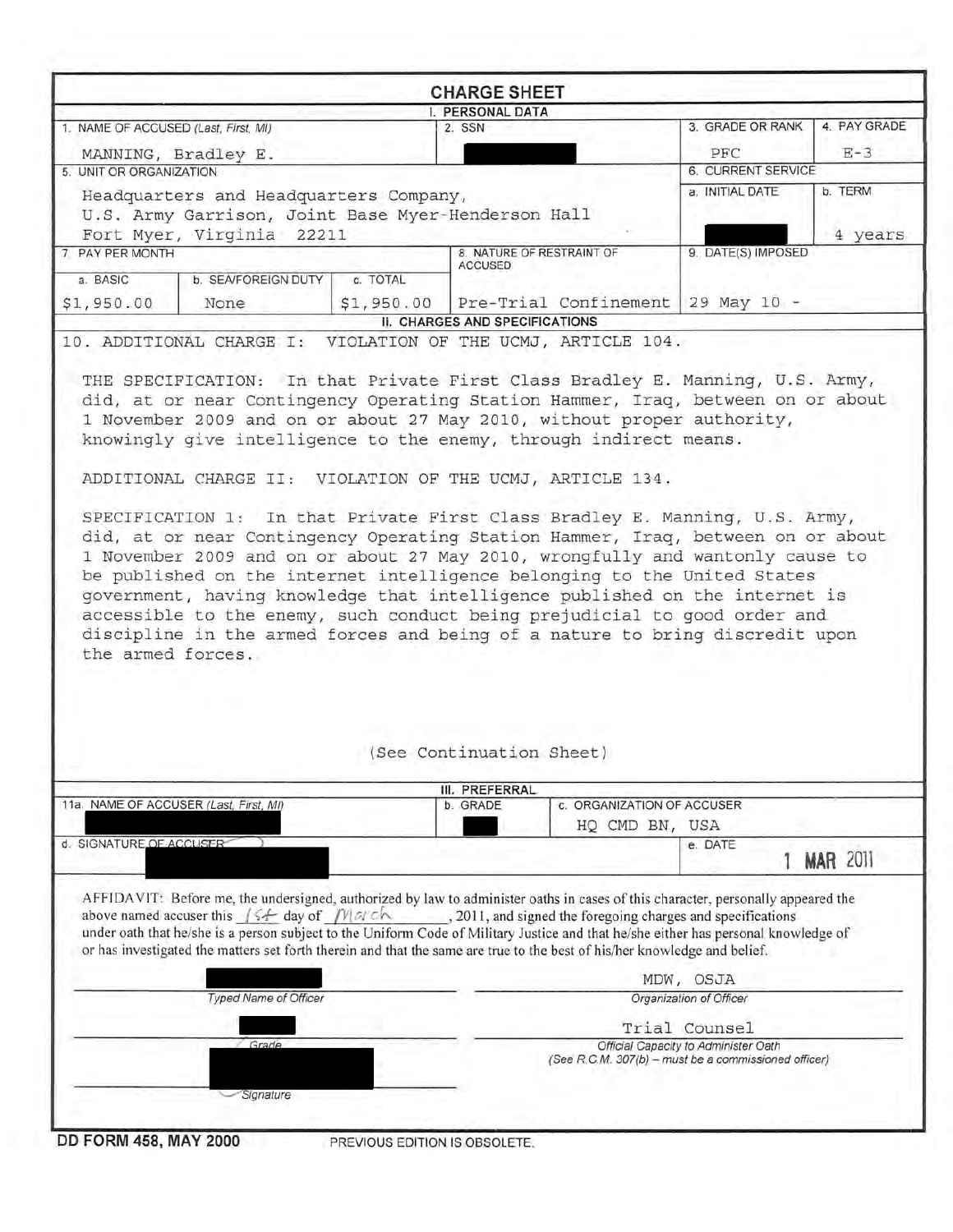| 1. NAME OF ACCUSED (Last, First, MI)                                                                                                                                                                                                                                                                                                                                                                                                                                                                                                                                                                                                                                                                        |                          | <b>CHARGE SHEET</b>            |                    |                 |
|-------------------------------------------------------------------------------------------------------------------------------------------------------------------------------------------------------------------------------------------------------------------------------------------------------------------------------------------------------------------------------------------------------------------------------------------------------------------------------------------------------------------------------------------------------------------------------------------------------------------------------------------------------------------------------------------------------------|--------------------------|--------------------------------|--------------------|-----------------|
|                                                                                                                                                                                                                                                                                                                                                                                                                                                                                                                                                                                                                                                                                                             |                          | I. PERSONAL DATA               |                    |                 |
|                                                                                                                                                                                                                                                                                                                                                                                                                                                                                                                                                                                                                                                                                                             | 2. SSN                   |                                | 3. GRADE OR RANK   | 4. PAY GRADE    |
| MANNING, Bradley E.                                                                                                                                                                                                                                                                                                                                                                                                                                                                                                                                                                                                                                                                                         |                          |                                | PFC                | $E-3$           |
| 5. UNIT OR ORGANIZATION                                                                                                                                                                                                                                                                                                                                                                                                                                                                                                                                                                                                                                                                                     |                          |                                | 6. CURRENT SERVICE |                 |
| Headquarters and Headquarters Company,                                                                                                                                                                                                                                                                                                                                                                                                                                                                                                                                                                                                                                                                      |                          |                                | a. INITIAL DATE    | b. TERM         |
| U.S. Army Garrison, Joint Base Myer-Henderson Hall                                                                                                                                                                                                                                                                                                                                                                                                                                                                                                                                                                                                                                                          |                          |                                |                    |                 |
| Fort Myer, Virginia 22211                                                                                                                                                                                                                                                                                                                                                                                                                                                                                                                                                                                                                                                                                   |                          |                                |                    | 4 years         |
| 7 PAY PER MONTH                                                                                                                                                                                                                                                                                                                                                                                                                                                                                                                                                                                                                                                                                             | <b>ACCUSED</b>           | 8. NATURE OF RESTRAINT OF      | 9. DATE(S) IMPOSED |                 |
| a. BASIC<br>b. SEA/FOREIGN DUTY                                                                                                                                                                                                                                                                                                                                                                                                                                                                                                                                                                                                                                                                             | c. TOTAL                 |                                |                    |                 |
| \$1,950.00<br>None                                                                                                                                                                                                                                                                                                                                                                                                                                                                                                                                                                                                                                                                                          | \$1,950.00               | Pre-Trial Confinement          | 29 May 10 -        |                 |
|                                                                                                                                                                                                                                                                                                                                                                                                                                                                                                                                                                                                                                                                                                             |                          | II. CHARGES AND SPECIFICATIONS |                    |                 |
| THE SPECIFICATION: In that Private First Class Bradley E. Manning, U.S. Army,<br>did, at or near Contingency Operating Station Hammer, Iraq, between on or about<br>1 November 2009 and on or about 27 May 2010, without proper authority,<br>knowingly give intelligence to the enemy, through indirect means.<br>ADDITIONAL CHARGE II: VIOLATION OF THE UCMJ, ARTICLE 134.<br>SPECIFICATION 1: In that Private First Class Bradley E. Manning, U.S. Army,<br>did, at or near Contingency Operating Station Hammer, Iraq, between on or about<br>1 November 2009 and on or about 27 May 2010, wrongfully and wantonly cause to<br>be published on the internet intelligence belonging to the United States |                          |                                |                    |                 |
| government, having knowledge that intelligence published on the internet is<br>accessible to the enemy, such conduct being prejudicial to good order and<br>discipline in the armed forces and being of a nature to bring discredit upon<br>the armed forces.                                                                                                                                                                                                                                                                                                                                                                                                                                               |                          |                                |                    |                 |
|                                                                                                                                                                                                                                                                                                                                                                                                                                                                                                                                                                                                                                                                                                             | (See Continuation Sheet) |                                |                    |                 |
|                                                                                                                                                                                                                                                                                                                                                                                                                                                                                                                                                                                                                                                                                                             | III. PREFERRAL           |                                |                    |                 |
| 11a. NAME OF ACCUSER (Last, First, MI)                                                                                                                                                                                                                                                                                                                                                                                                                                                                                                                                                                                                                                                                      | b. GRADE                 | c. ORGANIZATION OF ACCUSER     |                    |                 |
|                                                                                                                                                                                                                                                                                                                                                                                                                                                                                                                                                                                                                                                                                                             |                          | HQ CMD BN, USA                 |                    |                 |
| d. SIGNATURE OF ACCUSER                                                                                                                                                                                                                                                                                                                                                                                                                                                                                                                                                                                                                                                                                     |                          |                                | e. DATE            | <b>MAR 2011</b> |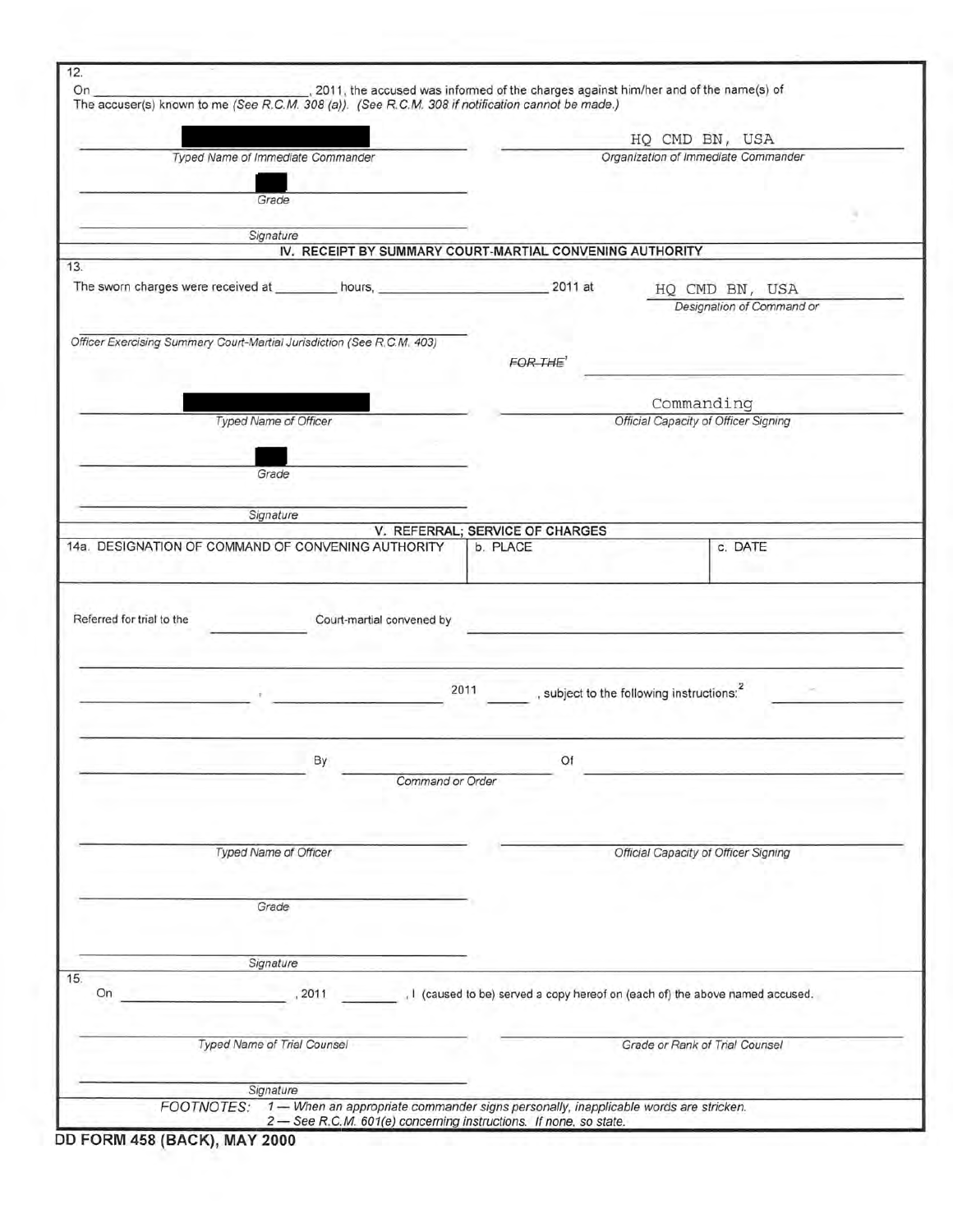| On.                       |                                                                                                                                                                                          |                           |                                                                                     |                                                       |                                             |  |
|---------------------------|------------------------------------------------------------------------------------------------------------------------------------------------------------------------------------------|---------------------------|-------------------------------------------------------------------------------------|-------------------------------------------------------|---------------------------------------------|--|
|                           | 2011, the accused was informed of the charges against him/her and of the name(s) of<br>The accuser(s) known to me (See R.C.M. 308 (a)). (See R.C.M. 308 if notification cannot be made.) |                           |                                                                                     |                                                       |                                             |  |
|                           |                                                                                                                                                                                          |                           |                                                                                     |                                                       |                                             |  |
|                           |                                                                                                                                                                                          |                           |                                                                                     | HQ CMD BN, USA<br>Organization of Immediate Commander |                                             |  |
|                           | Typed Name of Immediate Commander                                                                                                                                                        |                           |                                                                                     |                                                       |                                             |  |
|                           | Grade                                                                                                                                                                                    |                           |                                                                                     |                                                       |                                             |  |
|                           |                                                                                                                                                                                          |                           |                                                                                     |                                                       |                                             |  |
|                           | Signature                                                                                                                                                                                |                           |                                                                                     |                                                       |                                             |  |
|                           |                                                                                                                                                                                          |                           | IV. RECEIPT BY SUMMARY COURT-MARTIAL CONVENING AUTHORITY                            |                                                       |                                             |  |
| 13.                       |                                                                                                                                                                                          |                           |                                                                                     |                                                       |                                             |  |
|                           |                                                                                                                                                                                          |                           |                                                                                     |                                                       | HQ CMD BN, USA<br>Designation of Command or |  |
|                           |                                                                                                                                                                                          |                           |                                                                                     |                                                       |                                             |  |
|                           | Officer Exercising Summary Court-Martial Jurisdiction (See R.C.M. 403)                                                                                                                   |                           |                                                                                     |                                                       |                                             |  |
|                           |                                                                                                                                                                                          |                           | FOR THE <sup>1</sup>                                                                |                                                       |                                             |  |
|                           |                                                                                                                                                                                          |                           |                                                                                     |                                                       |                                             |  |
|                           |                                                                                                                                                                                          |                           |                                                                                     | Commanding                                            |                                             |  |
|                           | Typed Name of Officer                                                                                                                                                                    |                           |                                                                                     | Official Capacity of Officer Signing                  |                                             |  |
|                           |                                                                                                                                                                                          |                           |                                                                                     |                                                       |                                             |  |
|                           | Grade                                                                                                                                                                                    |                           |                                                                                     |                                                       |                                             |  |
|                           |                                                                                                                                                                                          |                           |                                                                                     |                                                       |                                             |  |
|                           | Signature                                                                                                                                                                                |                           |                                                                                     |                                                       |                                             |  |
|                           |                                                                                                                                                                                          |                           | V. REFERRAL; SERVICE OF CHARGES                                                     |                                                       |                                             |  |
|                           | 14a. DESIGNATION OF COMMAND OF CONVENING AUTHORITY                                                                                                                                       |                           | b. PLACE                                                                            |                                                       | c. DATE                                     |  |
|                           |                                                                                                                                                                                          |                           |                                                                                     |                                                       |                                             |  |
| Referred for trial to the |                                                                                                                                                                                          | Court-martial convened by |                                                                                     |                                                       |                                             |  |
|                           |                                                                                                                                                                                          | 2011                      |                                                                                     | , subject to the following instructions: <sup>2</sup> |                                             |  |
|                           |                                                                                                                                                                                          |                           |                                                                                     |                                                       |                                             |  |
|                           |                                                                                                                                                                                          |                           |                                                                                     |                                                       |                                             |  |
|                           | By                                                                                                                                                                                       |                           | Of                                                                                  |                                                       |                                             |  |
|                           |                                                                                                                                                                                          | Command or Order          |                                                                                     |                                                       |                                             |  |
|                           |                                                                                                                                                                                          |                           |                                                                                     |                                                       |                                             |  |
|                           |                                                                                                                                                                                          |                           |                                                                                     |                                                       |                                             |  |
|                           | Typed Name of Officer                                                                                                                                                                    |                           |                                                                                     | Official Capacity of Officer Signing                  |                                             |  |
|                           |                                                                                                                                                                                          |                           |                                                                                     |                                                       |                                             |  |
|                           | Grade                                                                                                                                                                                    |                           |                                                                                     |                                                       |                                             |  |
|                           |                                                                                                                                                                                          |                           |                                                                                     |                                                       |                                             |  |
|                           |                                                                                                                                                                                          |                           |                                                                                     |                                                       |                                             |  |
|                           | Signature                                                                                                                                                                                |                           |                                                                                     |                                                       |                                             |  |
| On                        | 2011                                                                                                                                                                                     |                           | I (caused to be) served a copy hereof on (each of) the above named accused.         |                                                       |                                             |  |
|                           |                                                                                                                                                                                          |                           |                                                                                     |                                                       |                                             |  |
|                           | Typed Name of Trial Counsel                                                                                                                                                              |                           |                                                                                     | Grade or Rank of Trial Counsel                        |                                             |  |
|                           |                                                                                                                                                                                          |                           |                                                                                     |                                                       |                                             |  |
| 15.                       | Signature<br><b>FOOTNOTES:</b>                                                                                                                                                           |                           | 1- When an appropriate commander signs personally, inapplicable words are stricken. |                                                       |                                             |  |

**DD FORM 458** (BACK), **MAY 2000**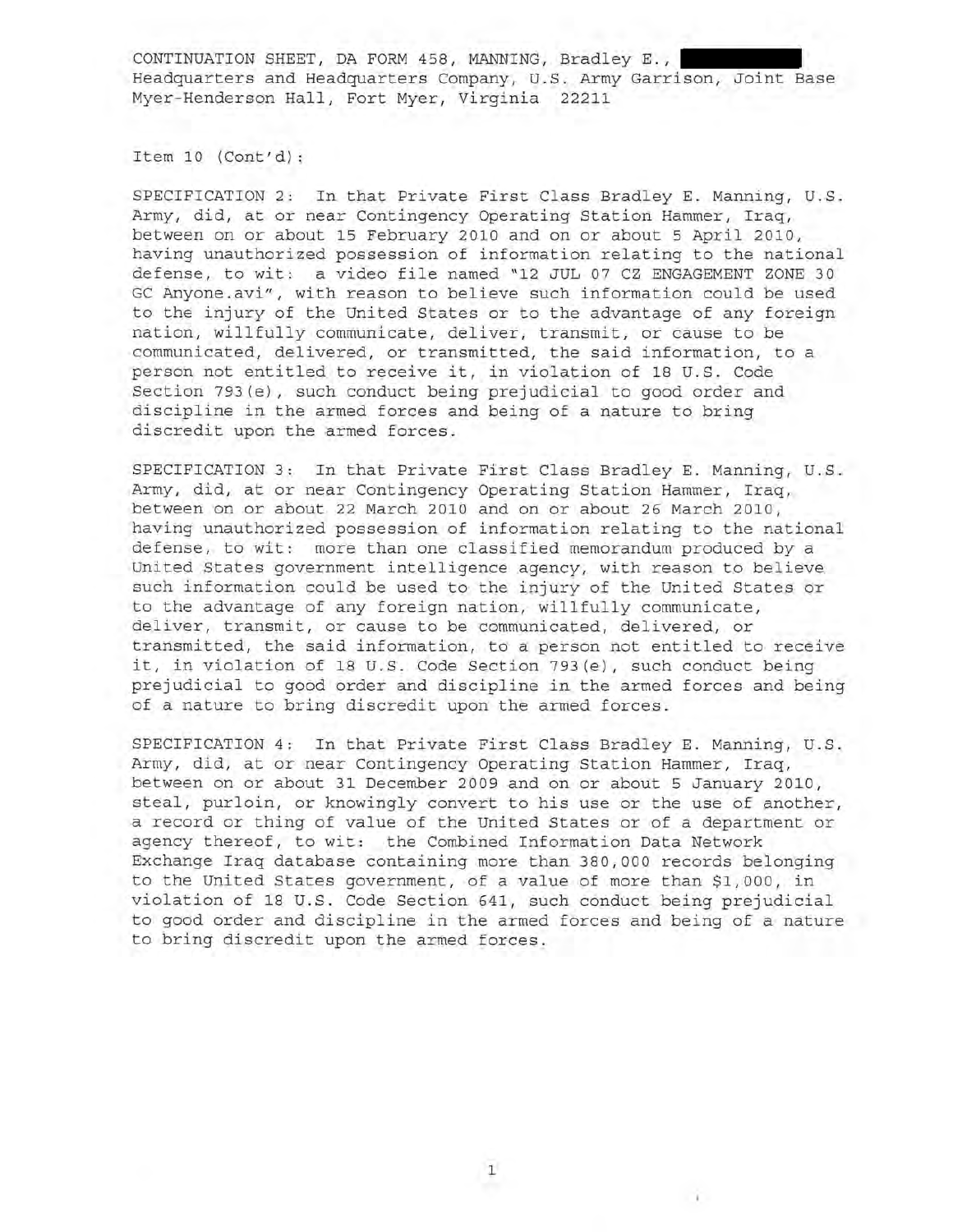Item 10 (Cont'd):

SPECIFICATION 2: In that Private First Class Bradley E. Manning, U.S. Army, did, at or near Contingency Operating Station Hammer, Iraq, between on or about 15 February 2010 and on or about 5 April 2010, having unauthorized possession of information relating to the national defense, to wit: a video file named "12 JUL 07 CZ ENGAGEMENT ZONE 30 GC Anyone.avi", with reason to believe such information could be used to the injury of the United States or to the advantage of any foreign nation, willfully communicate, deliver, transmit, or cause to be communicated, delivered, or transmitted, the said information, to a person not entitled to receive it, in violation of 18 U.S. Code Section 793(e), such conduct being prejudicial to good order and discipline in the armed forces and being of a nature to bring discredit upon the armed forces.

SPECIFICATION 3: In that Private First Class Bradley E. Manning, U.S. Army, did, at or near Contingency Operating Station Hammer, Iraq, between on or about 22 March 2010 and on or about 26 March 2010, having unauthorized possession of information relating to the national defense, to wit: more than one classified memorandum produced by a United States government intelligence agency, with reason to believe such information could be used to the injury of the United States or to the advantage of any foreign nation, willfully communicate, deliver, transmit, or cause to be communicated, delivered, or transmitted, the said information, to a person not entitled to receive it, in violation of 18 U.S. Code Section 793(e), such conduct being prejudicial to good order and discipline in the armed forces and being of a nature to bring discredit upon the armed forces.

SPECIFICATION 4: In that Private First Class Bradley E. Manning, U.S. Army, did, at or near Contingency Operating Station Hammer, Iraq, between on or about 31 December 2009 and on or about 5 January 2010, steal, purloin, or knowingly convert to his use or the use of another, a record or thing of value of the United States or of a department or agency thereof, to wit: the Combined Information Data Network Exchange Iraq database containing more than 380,000 records belonging to the United States government, of a value of more than \$1,000, in violation of 18 U.S. Code Section 641, such conduct being prejudicial to good order and discipline in the armed forces and being of a nature to bring discredit upon the armed forces.

1

 $\sim$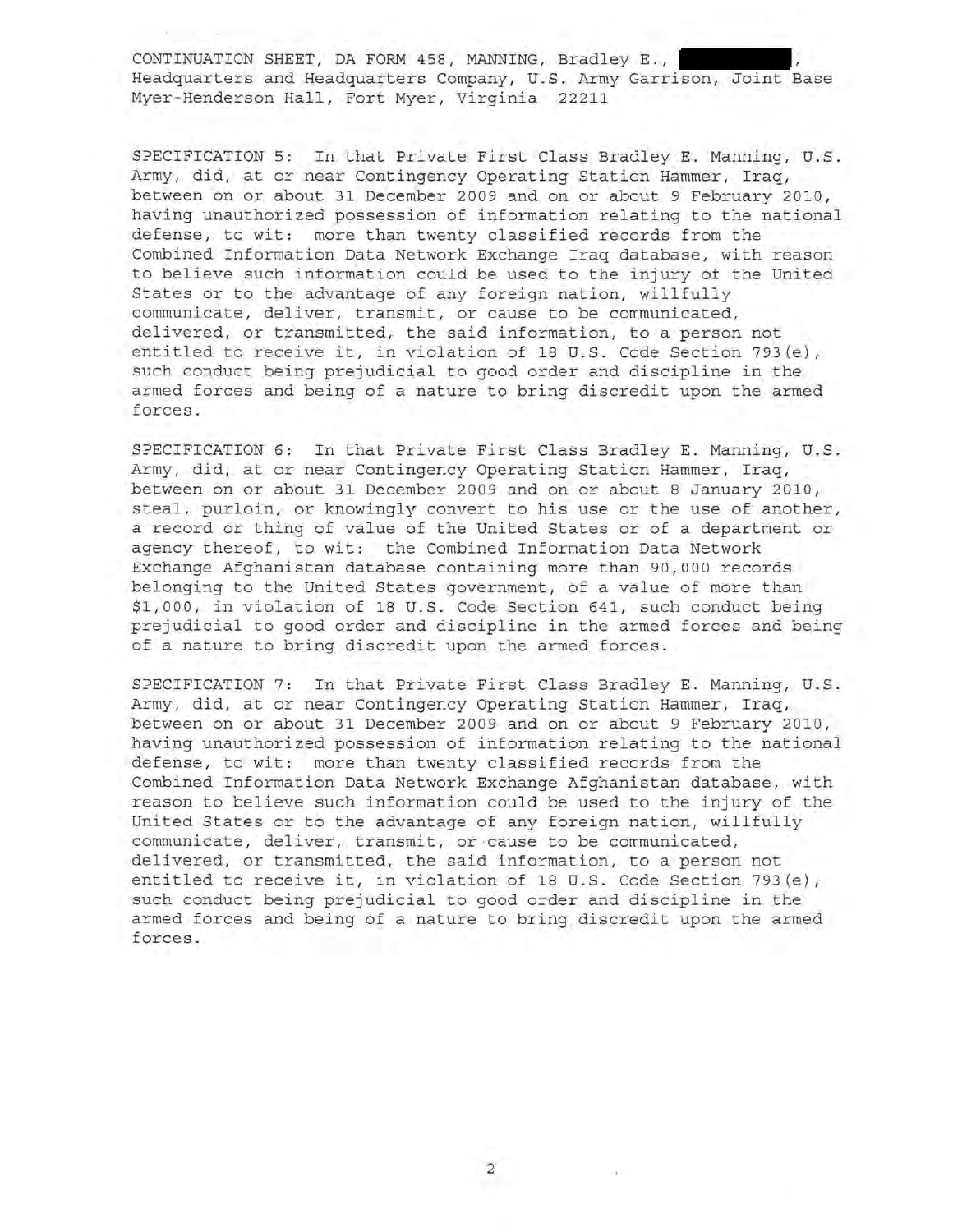SPECIFICATION 5: In that Private First Class Bradley **E.** Manning, U.S. Army, did, at or near Contingency Operating Station Hammer, Iraq, between on or about 31 December 2009 and on or about 9 February 2010, having unauthorized possession of information relating to the national defense, to wit: more than twenty classified records from the Combined Information Data Network Exchange Iraq database, with reason to believe such information could be used to the injury of the United States or to the advantage of any foreign nation, willfully communicate, deliver, transmit, or cause to be communicated, delivered, or transmitted, the said information, to a person not entitled to receive it, in violation of 18 U.S. Code Section 793(e), such conduct being prejudicial to good order and discipline in the armed forces and being of a nature to bring discredit upon the armed forces .

SPECIFICATION 6: In that Private First Class Bradley **E.** Manning, U.S . Army, did, at or near Contingency Operating Station Hammer, Iraq, between on or about 31 December 2009 and on or about 8 January 2010, steal, purloin, or knowingly convert to his use or the use of another, a record or thing of value of the United States or of a department or agency thereof, to wit: the Combined Information Data Network Exchange Afghanistan database containing more than 90,000 records belonging to the United States government, of a value of more than \$1,000, in violation of 18 U.S. Code Section 641, such conduct being prejudicial to good order and discipline in the armed forces and being of a nature to bring discredit upon the armed forces.

SPECIFICATION 7: In that Private First Class Bradley **E.** Manning, U. S. Army, did, at or near Contingency Operating Station Hammer, Iraq, between on or about 31 December 2009 and on or about 9 February 2010, having unauthorized possession of information relating to the national defense, to wit: more than twenty classified records from the Combined Information Data Network Exchange Afghanistan database, with reason to believe such information could be used to the injury of the United States or to the advantage of any foreign nation, willfully communicate, deliver, transmit, or cause to be communicated, delivered, or transmitted, the said information, to a person not entitled to receive it, in violation of 18 U. S. Code Section 793(e), such conduct being prejudicial to good order and discipline in the armed forces and being of a nature to bring discredit upon the armed forces .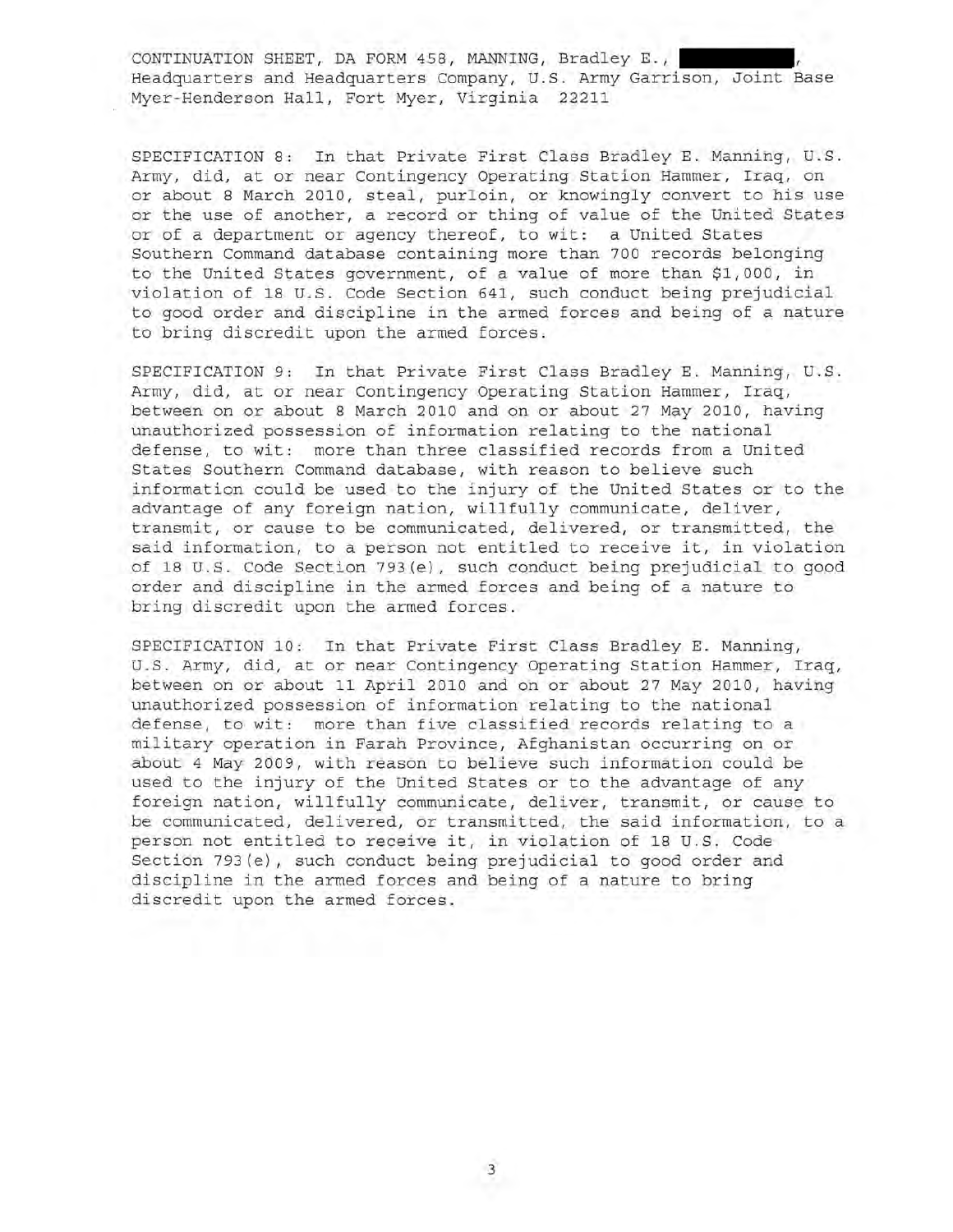SPECIFICATION 8: In that Private First Class Bradley E. Manning, U.S. Army, did, at or near Contingency Operating Station Hammer, Iraq, on or about 8 March 2010, steal, purloin, or knowingly convert to his use or the use of another, a record or thing of value of the United States or of a department or agency thereof, to wit: a United States Southern Command database containing more than 700 records belonging to the United States government, of a value of more than \$1,000, in violation of 18 U.S. Code Section 641, such conduct being prejudicial to good order and discipline in the armed forces and being of a nature to bring discredit upon the armed forces.

SPECIFICATION 9: In that Private First Class Bradley E. Manning, U.S. Army, did, at or near Contingency Operating Station Hammer, Iraq, between on or about 8 March 2010 and on or about 27 May 2010, having unauthorized possession of information relating to the national defense, to wit: more than three classified records from a United States Southern Command database, with reason to believe such information could be used to the injury of the United States or to the advantage of any foreign nation, willfully communicate, deliver, transmit, or cause to be communicated, delivered, or transmitted, the said information, to a person not entitled to receive it, in violation of 18 U.S. Code Section 793(e), such conduct being prejudicial to good order and discipline in the armed forces and being of a nature to bring discredit upon the armed forces .

SPECIFICATION 10: In that Private First Class Bradley E. Manning, u.S. Army, did, at or near Contingency Operating Station Hammer, Iraq, between on or about 11 April 2010 and on or about 27 May 2010, having unauthorized possession of information relating to the national defense, to wit: more than five classified records relating to a military operation in Farah Province, Afghanistan occurring on or about 4 May 2009, with reason to believe such information could be used to the injury of the United States or to the advantage of any foreign nation, willfully communicate, deliver, transmit, or cause to be communicated, delivered, or transmitted, the said information, to a person not entitled to receive it, in violation of 18 U.S. Code Section 793(e), such conduct being prejudicial to good order and discipline in the armed forces and being of a nature to bring discredit upon the armed forces.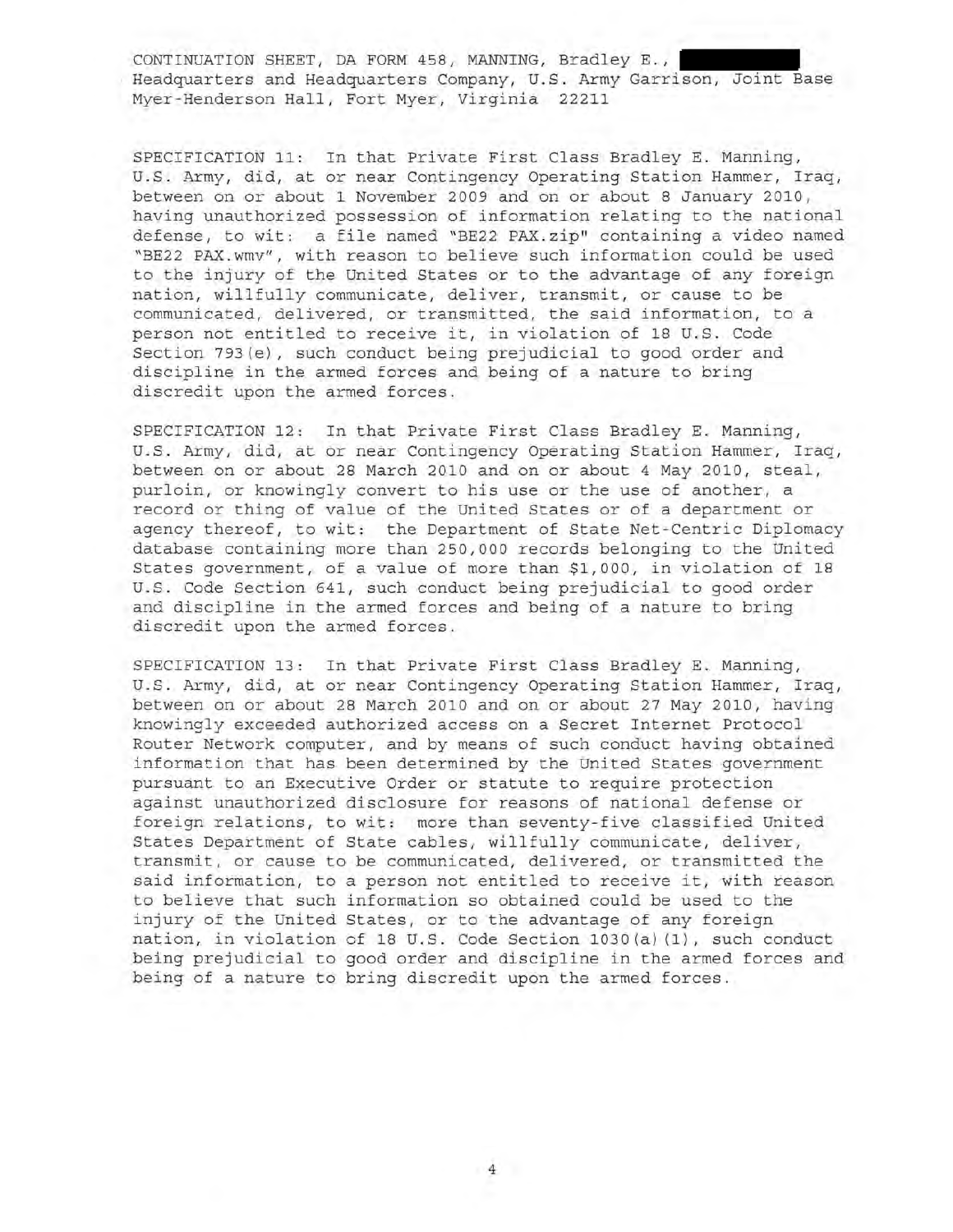SPECIFICATION 11: In that Private First Class Bradley E. Manning, u.S. Army, did, at or near Contingency Operating Station Hammer, Iraq, between on or about 1 November 2009 and on or about 8 January 2010, having unauthorized possession of information relating to the national defense, to wit: a file named "BE22 PAX.zip" containing a video named "BE22 PAX.wmv", with reason to believe such information could be used to the injury of the United States or to the advantage of any foreign nation, willfully communicate, deliver, transmit, or cause to be communicated, delivered, or transmitted, the said information, to a person not entitled to receive it, in violation of 18 U.S. Code Section 793(e), such conduct being prejudicial to good order and discipline in the armed forces and being of a nature to bring discredit upon the armed forces.

SPECIFICATION 12: In that Private First Class Bradley E. Manning, U.S. Army, did, at or near Contingency Operating Station Hammer, Iraq, between on or about 28 March 2010 and on or about 4 May 2010, steal, purloin, or knowingly convert to his use or the use of another, a record or thing of value of the United States or of a department or agency thereof, to wit: the Department of State Net-Centric Diplomacy database containing more than 250,000 records belonging to the United States government, of a value of more than \$1,000, in violation of 18 U.S. Code Section 641, such conduct being prejudicial to good order and discipline in the armed forces and being of a nature to bring discredit upon the armed forces.

SPECIFICATION 13: In that Private First Class Bradley E. Manning, U.S. Army, did, at or near Contingency Operating Station Hammer, Iraq, between on or about 28 March 2010 and on or about 27 May 2010, having knowingly exceeded authorized access on a Secret Internet Protocol Router Network computer, and by means of such conduct having obtained information that has been determined by the United States government pursuant to an Executive Order or statute to require protection against unauthorized disclosure for reasons of national defense or foreign relations, to wit: more than seventy-five classified United States Department of State cables, willfully communicate, deliver, transmit, or cause to be communicated, delivered, or transmitted the said information, to a person not entitled to receive it, with reason to believe that such information so obtained could be used to the injury of the United States, or to the advantage of any foreign nation, in violation of 18 U.S. Code Section 1030(a)(1), such conduct being prejudicial to good order and discipline in the armed forces and being of a nature to bring discredit upon the armed forces.

4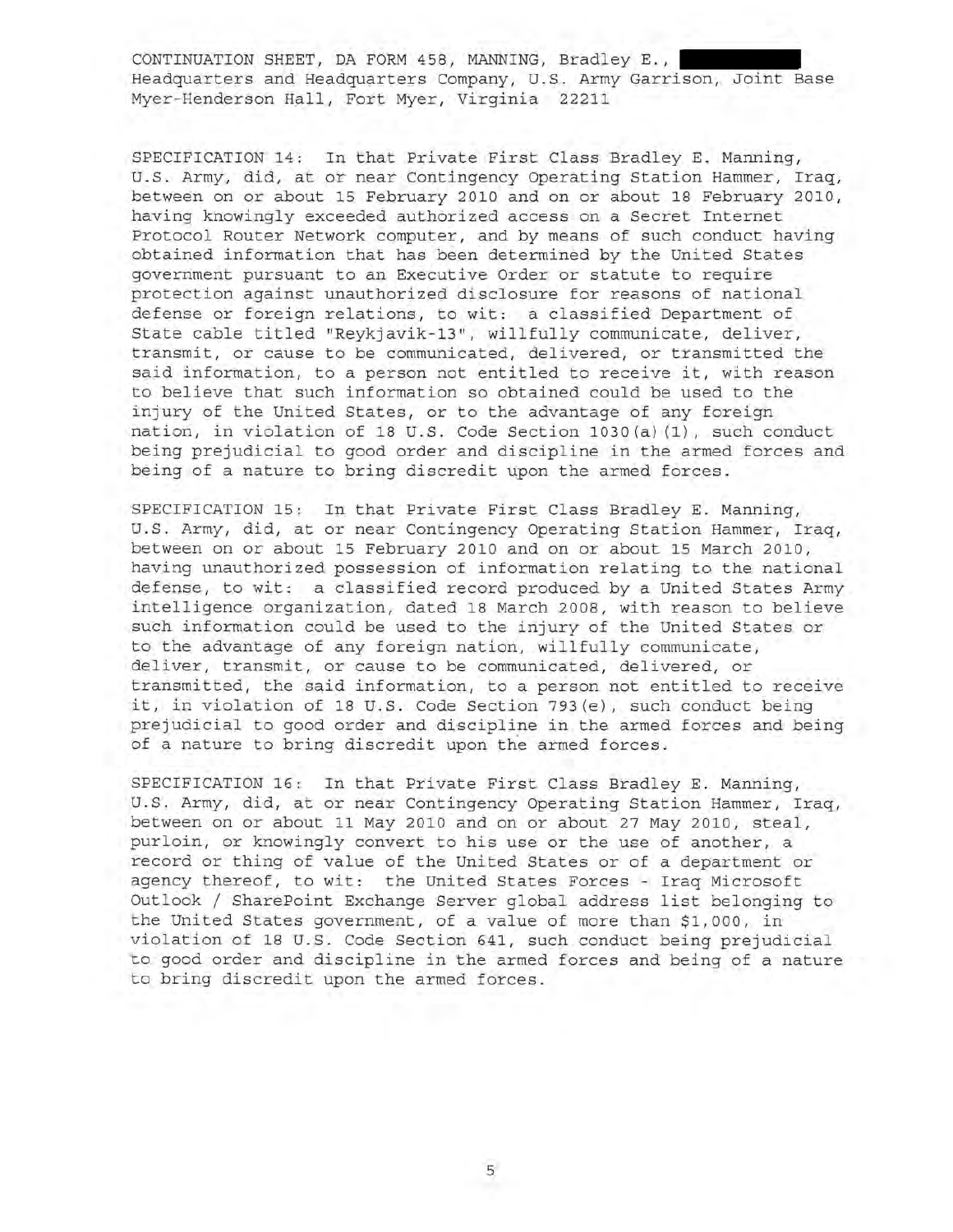SPECIFICATION 14: In that Private First Class Bradley **E.** Manning, U.S. Army, did, at or near Contingency Operating Station Hammer, Iraq, between on or about 15 February 2010 and on or about 18 February 2010, having knowingly exceeded authorized access on a Secret Internet Protocol Router Network computer, and by means of such conduct having obtained information that has been determined by the United States government pursuant to an Executive Order or statute to require protection against unauthorized disclosure for reasons of national defense or foreign relations, to wit: a classified Department of State cable titled "Reykjavik-13", willfully communicate, deliver, transmit, or cause to be communicated, delivered, or transmitted the said information, to a person not entitled to receive it, with reason to believe that such information so obtained could be used to the injury of the United States, or to the advantage of any foreign nation, in violation of 18 U.S. Code Section 1030(a) (1), such conduct being prejudicial to good order and discipline in the armed forces and being of a nature to bring discredit upon the armed forces.

SPECIFICATION 15: In that Private First Class Bradley **E.** Manning, U.S. Army, did, at or near Contingency Operating Station Hammer, Iraq, between on or about 15 February 2010 and on or about 15 March 2010, having unauthorized possession of information relating to the national defense, to wit: a classified record produced by a United States Army intelligence organization, dated 18 March 2008, with reason to believe such information could be used to the injury of the United States or to the advantage of any foreign nation, willfully communicate, deliver, transmit, or cause to be communicated, delivered, or transmitted, the said information, to a person not entitled to receive it, in violation of 18 U.S. Code Section 793(e), such conduct being prejudicial to good order and discipline in the armed forces and being of a nature to bring discredit upon the armed forces.

SPECIFICATION 16: In that Private First Class Bradley **E.** Manning, U.S. Army, did, at or near Contingency Operating Station Hammer, Iraq, between on or about 11 May 2010 and on or about 27 May 2010, steal, purloin, or knowingly convert to his use or the use of another, a record or thing of value of the United States or of a department or agency thereof, to wit: the United States Forces - Iraq Microsoft Outlook / SharePoint Exchange Server global address list belonging to the United States government, of a value of more than \$1,000, in violation of 18 U.S. Code Section 641, such conduct being prejudicial to good order and discipline in the armed forces and being of a nature to bring discredit upon the armed forces.